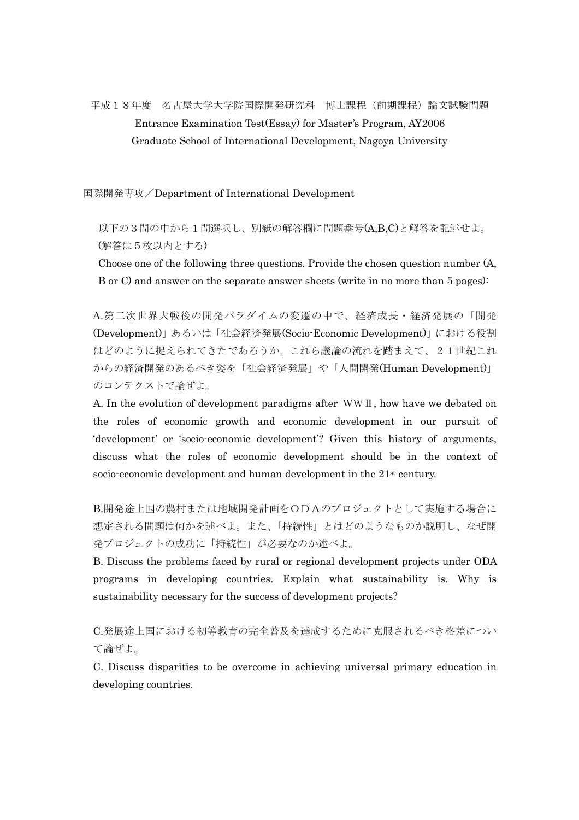## 平成18年度 名古屋大学大学院国際開発研究科 博士課程(前期課程)論文試験問題 Entrance Examination Test(Essay) for Master's Program, AY2006 Graduate School of International Development, Nagoya University

国際開発専攻/Department of International Development

 以下の3問の中から1問選択し、別紙の解答欄に問題番号(A,B,C)と解答を記述せよ。 (解答は5枚以内とする)

 Choose one of the following three questions. Provide the chosen question number (A, B or C) and answer on the separate answer sheets (write in no more than 5 pages):

 A.第二次世界大戦後の開発パラダイムの変遷の中で、経済成長・経済発展の「開発 (Development)」あるいは「社会経済発展(Socio-Economic Development)」における役割 はどのように捉えられてきたであろうか。これら議論の流れを踏まえて、21世紀これ からの経済開発のあるべき姿を「社会経済発展」や「人間開発(Human Development)」 のコンテクストで論ぜよ。

A. In the evolution of development paradigms after WWⅡ, how have we debated on the roles of economic growth and economic development in our pursuit of 'development' or 'socio-economic development'? Given this history of arguments, discuss what the roles of economic development should be in the context of socio-economic development and human development in the 21<sup>st</sup> century.

B.開発途上国の農村または地域開発計画をODAのプロジェクトとして実施する場合に 想定される問題は何かを述べよ。また、「持続性」とはどのようなものか説明し、なぜ開 発プロジェクトの成功に「持続性」が必要なのか述べよ。

B. Discuss the problems faced by rural or regional development projects under ODA programs in developing countries. Explain what sustainability is. Why is sustainability necessary for the success of development projects?

C.発展途上国における初等教育の完全普及を達成するために克服されるべき格差につい て論ぜよ。

C. Discuss disparities to be overcome in achieving universal primary education in developing countries.